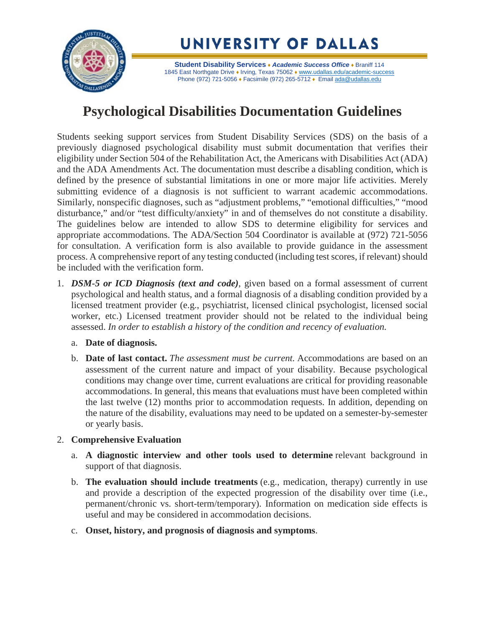

**Student Disability Services** ♦ *Academic Success Office* ♦ Braniff 114 1845 East Northgate Drive • Irving, Texas 75062 • [www.udallas.edu/academic-success](http://www.udallas.edu/academic-success) Phone (972) 721-5056 • Facsimile (972) 265-5712 • Email [ada@udallas.edu](mailto:ada@udallas.edu)

## **Psychological Disabilities Documentation Guidelines**

Students seeking support services from Student Disability Services (SDS) on the basis of a previously diagnosed psychological disability must submit documentation that verifies their eligibility under Section 504 of the Rehabilitation Act, the Americans with Disabilities Act (ADA) and the ADA Amendments Act. The documentation must describe a disabling condition, which is defined by the presence of substantial limitations in one or more major life activities. Merely submitting evidence of a diagnosis is not sufficient to warrant academic accommodations. Similarly, nonspecific diagnoses, such as "adjustment problems," "emotional difficulties," "mood disturbance," and/or "test difficulty/anxiety" in and of themselves do not constitute a disability. The guidelines below are intended to allow SDS to determine eligibility for services and appropriate accommodations. The ADA/Section 504 Coordinator is available at (972) 721-5056 for consultation. A verification form is also available to provide guidance in the assessment process. A comprehensive report of any testing conducted (including test scores, if relevant) should be included with the verification form.

- 1. *DSM-5 or ICD Diagnosis (text and code)*, given based on a formal assessment of current psychological and health status, and a formal diagnosis of a disabling condition provided by a licensed treatment provider (e.g., psychiatrist, licensed clinical psychologist, licensed social worker, etc.) Licensed treatment provider should not be related to the individual being assessed. *In order to establish a history of the condition and recency of evaluation.*
	- a. **Date of diagnosis.**
	- b. **Date of last contact.** *The assessment must be current.* Accommodations are based on an assessment of the current nature and impact of your disability. Because psychological conditions may change over time, current evaluations are critical for providing reasonable accommodations. In general, this means that evaluations must have been completed within the last twelve (12) months prior to accommodation requests. In addition, depending on the nature of the disability, evaluations may need to be updated on a semester-by-semester or yearly basis.

## 2. **Comprehensive Evaluation**

- a. **A diagnostic interview and other tools used to determine** relevant background in support of that diagnosis.
- b. **The evaluation should include treatments** (e.g., medication, therapy) currently in use and provide a description of the expected progression of the disability over time (i.e., permanent/chronic vs. short-term/temporary). Information on medication side effects is useful and may be considered in accommodation decisions.
- c. **Onset, history, and prognosis of diagnosis and symptoms**.